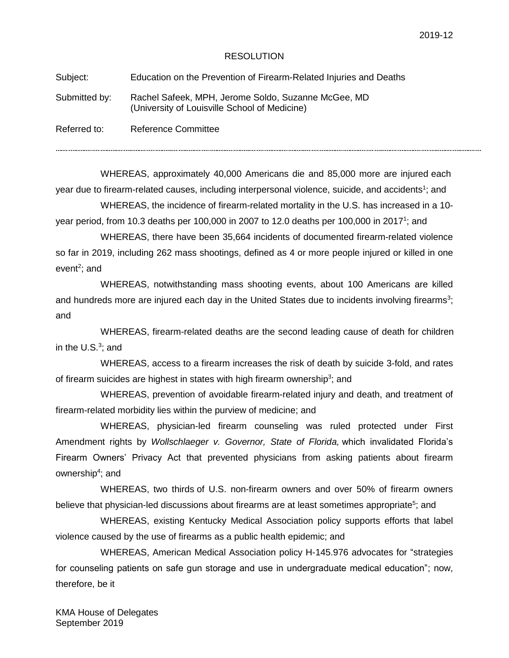## RESOLUTION

Subject: Education on the Prevention of Firearm-Related Injuries and Deaths

Submitted by: Rachel Safeek, MPH, Jerome Soldo, Suzanne McGee, MD (University of Louisville School of Medicine)

Referred to: Reference Committee

WHEREAS, approximately 40,000 Americans die and 85,000 more are injured each year due to firearm-related causes, including interpersonal violence, suicide, and accidents<sup>1</sup>; and

WHEREAS, the incidence of firearm-related mortality in the U.S. has increased in a 10 year period, from 10.3 deaths per 100,000 in 2007 to 12.0 deaths per 100,000 in 2017<sup>1</sup>; and

WHEREAS, there have been 35,664 incidents of documented firearm-related violence so far in 2019, including 262 mass shootings, defined as 4 or more people injured or killed in one event<sup>2</sup>; and

WHEREAS, notwithstanding mass shooting events, about 100 Americans are killed and hundreds more are injured each day in the United States due to incidents involving firearms<sup>3</sup>; and

WHEREAS, firearm-related deaths are the second leading cause of death for children in the  $U.S.^3$ ; and

WHEREAS, access to a firearm increases the risk of death by suicide 3-fold, and rates of firearm suicides are highest in states with high firearm ownership<sup>3</sup>; and

WHEREAS, prevention of avoidable firearm-related injury and death, and treatment of firearm-related morbidity lies within the purview of medicine; and

WHEREAS, physician-led firearm counseling was ruled protected under First Amendment rights by *Wollschlaeger v. Governor, State of Florida,* which invalidated Florida's Firearm Owners' Privacy Act that prevented physicians from asking patients about firearm ownership<sup>4</sup>; and

WHEREAS, two thirds of U.S. non-firearm owners and over 50% of firearm owners believe that physician-led discussions about firearms are at least sometimes appropriate<sup>5</sup>; and

WHEREAS, existing Kentucky Medical Association policy supports efforts that label violence caused by the use of firearms as a public health epidemic; and

WHEREAS, American Medical Association policy H-145.976 advocates for "strategies for counseling patients on safe gun storage and use in undergraduate medical education"; now, therefore, be it

KMA House of Delegates September 2019